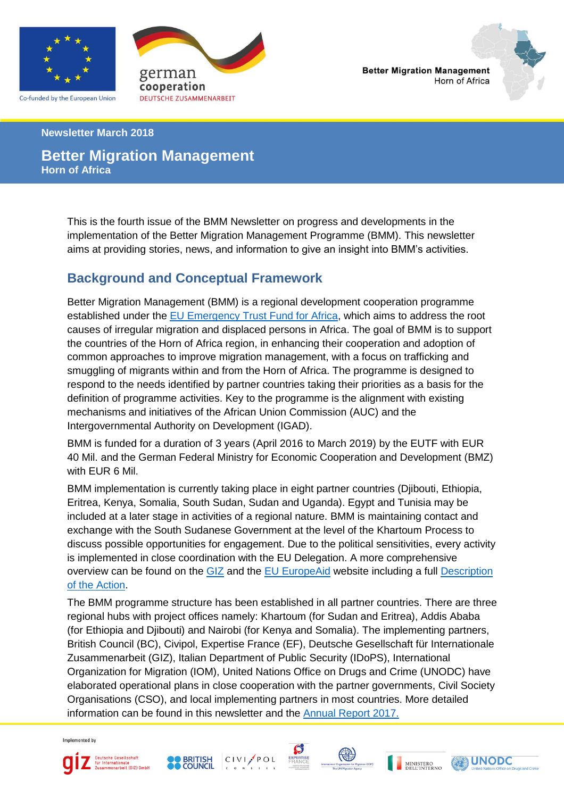

Co-funded by the European Union



**Better Migration Management** Horn of Africa



**Newsletter March 2018**

### **Better Migration Management Horn of Africa**

This is the fourth issue of the BMM Newsletter on progress and developments in the implementation of the Better Migration Management Programme (BMM). This newsletter aims at providing stories, news, and information to give an insight into BMM's activities.

# **Background and Conceptual Framework**

Better Migration Management (BMM) is a regional development cooperation programme established under the [EU Emergency Trust Fund for Africa,](http://ec.europa.eu/europeaid/regions/africa/eu-emergency-trust-fund/horn-africa) which aims to address the root causes of irregular migration and displaced persons in Africa. The goal of BMM is to support the countries of the Horn of Africa region, in enhancing their cooperation and adoption of common approaches to improve migration management, with a focus on trafficking and smuggling of migrants within and from the Horn of Africa. The programme is designed to respond to the needs identified by partner countries taking their priorities as a basis for the definition of programme activities. Key to the programme is the alignment with existing mechanisms and initiatives of the African Union Commission (AUC) and the Intergovernmental Authority on Development (IGAD).

BMM is funded for a duration of 3 years (April 2016 to March 2019) by the EUTF with EUR 40 Mil. and the German Federal Ministry for Economic Cooperation and Development (BMZ) with EUR 6 Mil.

BMM implementation is currently taking place in eight partner countries (Djibouti, Ethiopia, Eritrea, Kenya, Somalia, South Sudan, Sudan and Uganda). Egypt and Tunisia may be included at a later stage in activities of a regional nature. BMM is maintaining contact and exchange with the South Sudanese Government at the level of the Khartoum Process to discuss possible opportunities for engagement. Due to the political sensitivities, every activity is implemented in close coordination with the EU Delegation. A more comprehensive overview can be found on the [GIZ](https://www.giz.de/de/weltweit/40602.html) and the [EU EuropeAid](https://ec.europa.eu/europeaid/trust-fund-projects/better-migration-management-support-khartoum-process_en) website including a full Description [of the Action.](https://www.giz.de/en/downloads/giz2016-en-bmm-description-of-action.pdf)

The BMM programme structure has been established in all partner countries. There are three regional hubs with project offices namely: Khartoum (for Sudan and Eritrea), Addis Ababa (for Ethiopia and Djibouti) and Nairobi (for Kenya and Somalia). The implementing partners, British Council (BC), Civipol, Expertise France (EF), Deutsche Gesellschaft für Internationale Zusammenarbeit (GIZ), Italian Department of Public Security (IDoPS), International Organization for Migration (IOM), United Nations Office on Drugs and Crime (UNODC) have elaborated operational plans in close cooperation with the partner governments, Civil Society Organisations (CSO), and local implementing partners in most countries. More detailed information can be found in this newsletter and the [Annual Report](https://ec.europa.eu/europeaid/better-migration-management-annual-progress-report-2017_en) 2017.

Implemented by











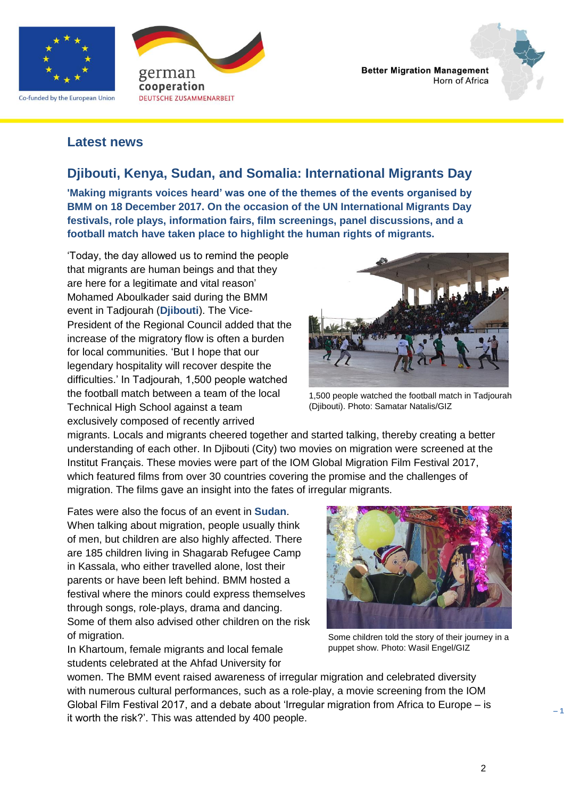

Co-funded by the European Union



**Better Migration Management** Horn of Africa

#### **Latest news**

### **Djibouti, Kenya, Sudan, and Somalia: International Migrants Day**

**'Making migrants voices heard' was one of the themes of the events organised by BMM on 18 December 2017. On the occasion of the UN International Migrants Day festivals, role plays, information fairs, film screenings, panel discussions, and a football match have taken place to highlight the human rights of migrants.**

'Today, the day allowed us to remind the people that migrants are human beings and that they are here for a legitimate and vital reason' Mohamed Aboulkader said during the BMM event in Tadjourah (**Djibouti**). The Vice-President of the Regional Council added that the increase of the migratory flow is often a burden for local communities. 'But I hope that our legendary hospitality will recover despite the difficulties.' In Tadjourah, 1,500 people watched the football match between a team of the local Technical High School against a team exclusively composed of recently arrived



1,500 people watched the football match in Tadjourah (Djibouti). Photo: Samatar Natalis/GIZ

migrants. Locals and migrants cheered together and started talking, thereby creating a better understanding of each other. In Djibouti (City) two movies on migration were screened at the Institut Français. These movies were part of the IOM Global Migration Film Festival 2017, which featured films from over 30 countries covering the promise and the challenges of migration. The films gave an insight into the fates of irregular migrants.

Fates were also the focus of an event in **Sudan**. When talking about migration, people usually think of men, but children are also highly affected. There are 185 children living in Shagarab Refugee Camp in Kassala, who either travelled alone, lost their parents or have been left behind. BMM hosted a festival where the minors could express themselves through songs, role-plays, drama and dancing. Some of them also advised other children on the risk of migration.

In Khartoum, female migrants and local female students celebrated at the Ahfad University for



Some children told the story of their journey in a puppet show. Photo: Wasil Engel/GIZ

women. The BMM event raised awareness of irregular migration and celebrated diversity with numerous cultural performances, such as a role-play, a movie screening from the IOM Global Film Festival 2017, and a debate about 'Irregular migration from Africa to Europe – is it worth the risk?'. This was attended by 400 people.

**– 1 –**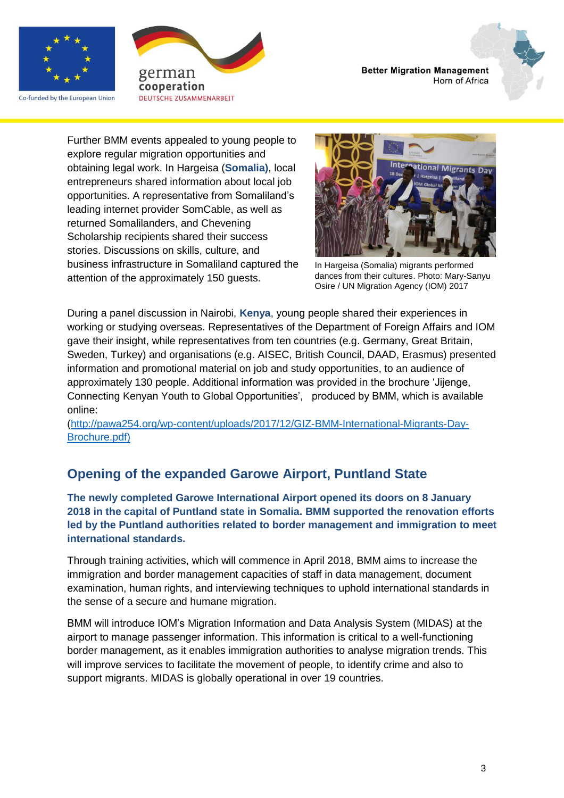

Co-funded by the European Union





Further BMM events appealed to young people to explore regular migration opportunities and obtaining legal work. In Hargeisa (**Somalia)**, local entrepreneurs shared information about local job opportunities. A representative from Somaliland's leading internet provider SomCable, as well as returned Somalilanders, and Chevening Scholarship recipients shared their success stories. Discussions on skills, culture, and business infrastructure in Somaliland captured the attention of the approximately 150 guests.



In Hargeisa (Somalia) migrants performed dances from their cultures. Photo: Mary-Sanyu Osire / UN Migration Agency (IOM) 2017

During a panel discussion in Nairobi, **Kenya**, young people shared their experiences in working or studying overseas. Representatives of the Department of Foreign Affairs and IOM gave their insight, while representatives from ten countries (e.g. Germany, Great Britain, Sweden, Turkey) and organisations (e.g. AISEC, British Council, DAAD, Erasmus) presented information and promotional material on job and study opportunities, to an audience of approximately 130 people. Additional information was provided in the brochure 'Jijenge, Connecting Kenyan Youth to Global Opportunities', produced by BMM, which is available online:

[\(http://pawa254.org/wp-content/uploads/2017/12/GIZ-BMM-International-Migrants-Day-](http://pawa254.org/wp-content/uploads/2017/12/GIZ-BMM-International-Migrants-Day-Brochure.pdf)[Brochure.pdf\)](http://pawa254.org/wp-content/uploads/2017/12/GIZ-BMM-International-Migrants-Day-Brochure.pdf)

# **Opening of the expanded Garowe Airport, Puntland State**

**The newly completed Garowe International Airport opened its doors on 8 January 2018 in the capital of Puntland state in Somalia. BMM supported the renovation efforts led by the Puntland authorities related to border management and immigration to meet international standards.**

Through training activities, which will commence in April 2018, BMM aims to increase the immigration and border management capacities of staff in data management, document examination, human rights, and interviewing techniques to uphold international standards in the sense of a secure and humane migration.

BMM will introduce IOM's Migration Information and Data Analysis System (MIDAS) at the airport to manage passenger information. This information is critical to a well-functioning border management, as it enables immigration authorities to analyse migration trends. This will improve services to facilitate the movement of people, to identify crime and also to support migrants. MIDAS is globally operational in over 19 countries.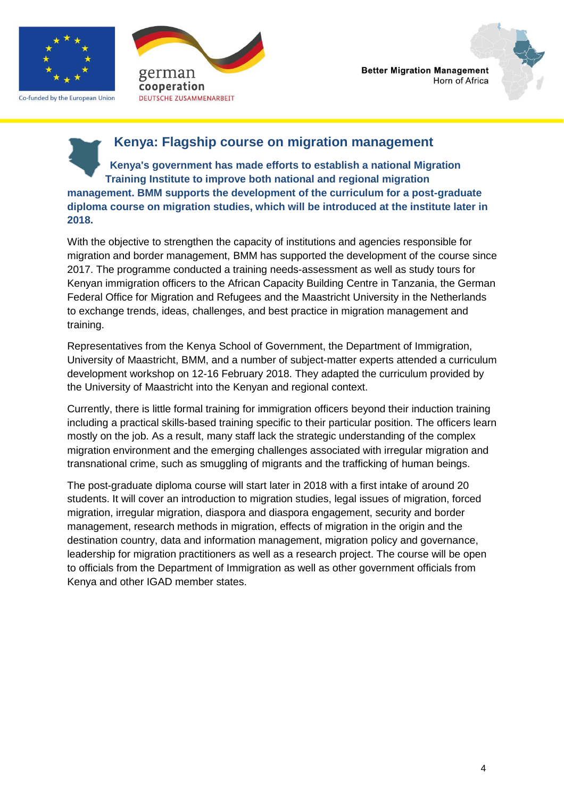

Co-funded by the European Union





### **Kenya: Flagship course on migration management**

**Kenya's government has made efforts to establish a national Migration Training Institute to improve both national and regional migration management. BMM supports the development of the curriculum for a post-graduate diploma course on migration studies, which will be introduced at the institute later in 2018.**

With the objective to strengthen the capacity of institutions and agencies responsible for migration and border management, BMM has supported the development of the course since 2017. The programme conducted a training needs-assessment as well as study tours for Kenyan immigration officers to the African Capacity Building Centre in Tanzania, the German Federal Office for Migration and Refugees and the Maastricht University in the Netherlands to exchange trends, ideas, challenges, and best practice in migration management and training.

Representatives from the Kenya School of Government, the Department of Immigration, University of Maastricht, BMM, and a number of subject-matter experts attended a curriculum development workshop on 12-16 February 2018. They adapted the curriculum provided by the University of Maastricht into the Kenyan and regional context.

Currently, there is little formal training for immigration officers beyond their induction training including a practical skills-based training specific to their particular position. The officers learn mostly on the job. As a result, many staff lack the strategic understanding of the complex migration environment and the emerging challenges associated with irregular migration and transnational crime, such as smuggling of migrants and the trafficking of human beings.

The post-graduate diploma course will start later in 2018 with a first intake of around 20 students. It will cover an introduction to migration studies, legal issues of migration, forced migration, irregular migration, diaspora and diaspora engagement, security and border management, research methods in migration, effects of migration in the origin and the destination country, data and information management, migration policy and governance, leadership for migration practitioners as well as a research project. The course will be open to officials from the Department of Immigration as well as other government officials from Kenya and other IGAD member states.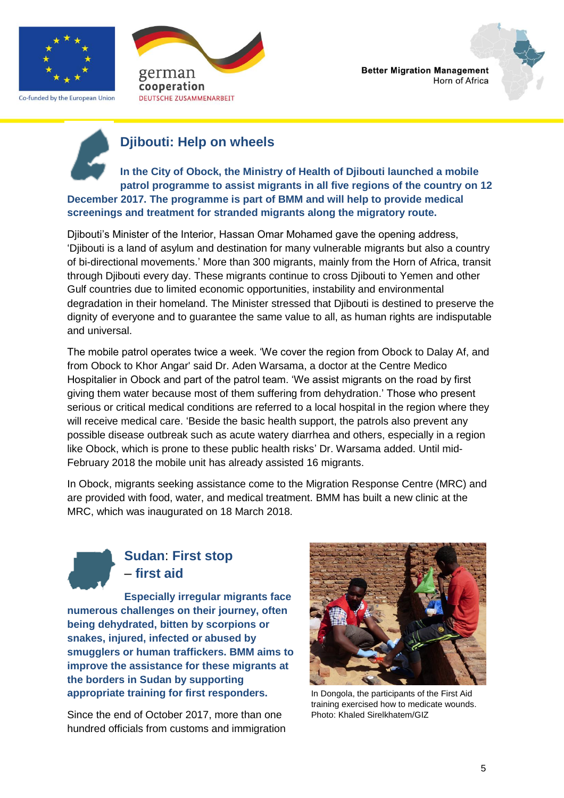

Co-funded by the European Union



**Better Migration Management** Horn of Africa



# **Djibouti: Help on wheels**

**In the City of Obock, the Ministry of Health of Djibouti launched a mobile patrol programme to assist migrants in all five regions of the country on 12 December 2017. The programme is part of BMM and will help to provide medical screenings and treatment for stranded migrants along the migratory route.**

Djibouti's Minister of the Interior, Hassan Omar Mohamed gave the opening address, 'Djibouti is a land of asylum and destination for many vulnerable migrants but also a country of bi-directional movements.' More than 300 migrants, mainly from the Horn of Africa, transit through Djibouti every day. These migrants continue to cross Djibouti to Yemen and other Gulf countries due to limited economic opportunities, instability and environmental degradation in their homeland. The Minister stressed that Djibouti is destined to preserve the dignity of everyone and to guarantee the same value to all, as human rights are indisputable and universal.

The mobile patrol operates twice a week. 'We cover the region from Obock to Dalay Af, and from Obock to Khor Angar' said Dr. Aden Warsama, a doctor at the Centre Medico Hospitalier in Obock and part of the patrol team. 'We assist migrants on the road by first giving them water because most of them suffering from dehydration.' Those who present serious or critical medical conditions are referred to a local hospital in the region where they will receive medical care. 'Beside the basic health support, the patrols also prevent any possible disease outbreak such as acute watery diarrhea and others, especially in a region like Obock, which is prone to these public health risks' Dr. Warsama added. Until mid-February 2018 the mobile unit has already assisted 16 migrants.

In Obock, migrants seeking assistance come to the Migration Response Centre (MRC) and are provided with food, water, and medical treatment. BMM has built a new clinic at the MRC, which was inaugurated on 18 March 2018.

# **Sudan**: **First stop** – **first aid**

**Especially irregular migrants face numerous challenges on their journey, often being dehydrated, bitten by scorpions or snakes, injured, infected or abused by smugglers or human traffickers. BMM aims to improve the assistance for these migrants at the borders in Sudan by supporting appropriate training for first responders.** 

Since the end of October 2017, more than one hundred officials from customs and immigration



In Dongola, the participants of the First Aid training exercised how to medicate wounds. Photo: Khaled Sirelkhatem/GIZ